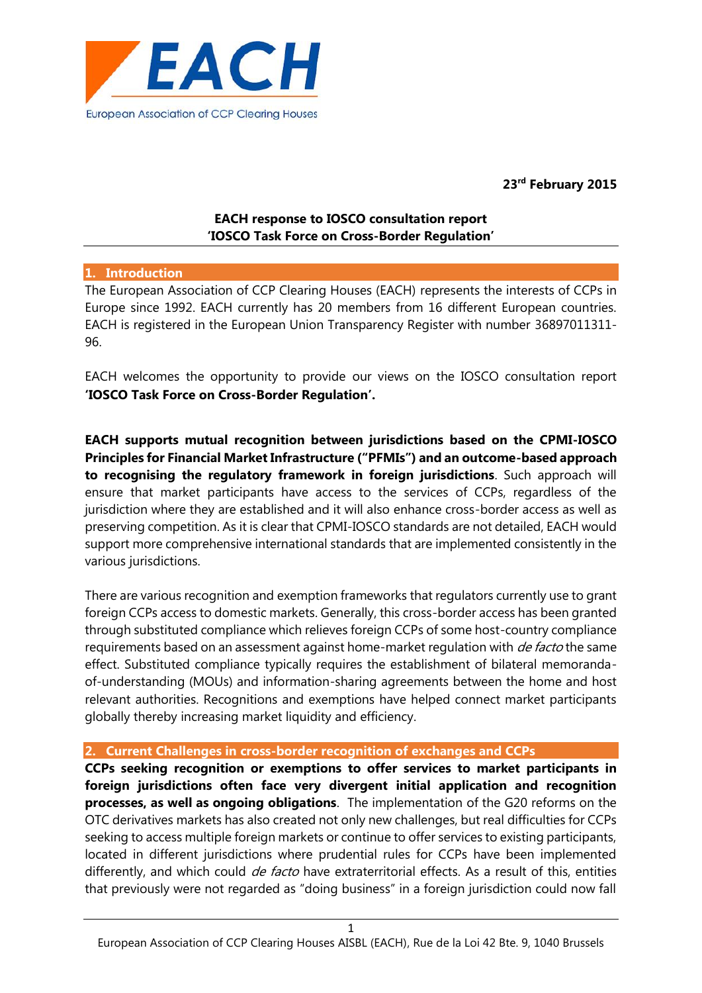

**23rd February 2015**

# **EACH response to IOSCO consultation report 'IOSCO Task Force on Cross-Border Regulation'**

#### **1. Introduction**

The European Association of CCP Clearing Houses (EACH) represents the interests of CCPs in Europe since 1992. EACH currently has 20 members from 16 different European countries. EACH is registered in the European Union Transparency Register with number 36897011311- 96.

EACH welcomes the opportunity to provide our views on the IOSCO consultation report **'IOSCO Task Force on Cross-Border Regulation'.**

**EACH supports mutual recognition between jurisdictions based on the CPMI-IOSCO Principles for Financial Market Infrastructure ("PFMIs") and an outcome-based approach to recognising the regulatory framework in foreign jurisdictions**. Such approach will ensure that market participants have access to the services of CCPs, regardless of the jurisdiction where they are established and it will also enhance cross-border access as well as preserving competition. As it is clear that CPMI-IOSCO standards are not detailed, EACH would support more comprehensive international standards that are implemented consistently in the various jurisdictions.

There are various recognition and exemption frameworks that regulators currently use to grant foreign CCPs access to domestic markets. Generally, this cross-border access has been granted through substituted compliance which relieves foreign CCPs of some host-country compliance requirements based on an assessment against home-market regulation with *de facto* the same effect. Substituted compliance typically requires the establishment of bilateral memoranda of-understanding (MOUs) and information-sharing agreements between the home and host relevant authorities. Recognitions and exemptions have helped connect market participants globally thereby increasing market liquidity and efficiency.

#### **2. Current Challenges in cross-border recognition of exchanges and CCPs**

**CCPs seeking recognition or exemptions to offer services to market participants in foreign jurisdictions often face very divergent initial application and recognition processes, as well as ongoing obligations**. The implementation of the G20 reforms on the OTC derivatives markets has also created not only new challenges, but real difficulties for CCPs seeking to access multiple foreign markets or continue to offer services to existing participants, located in different jurisdictions where prudential rules for CCPs have been implemented differently, and which could *de facto* have extraterritorial effects. As a result of this, entities that previously were not regarded as "doing business" in a foreign jurisdiction could now fall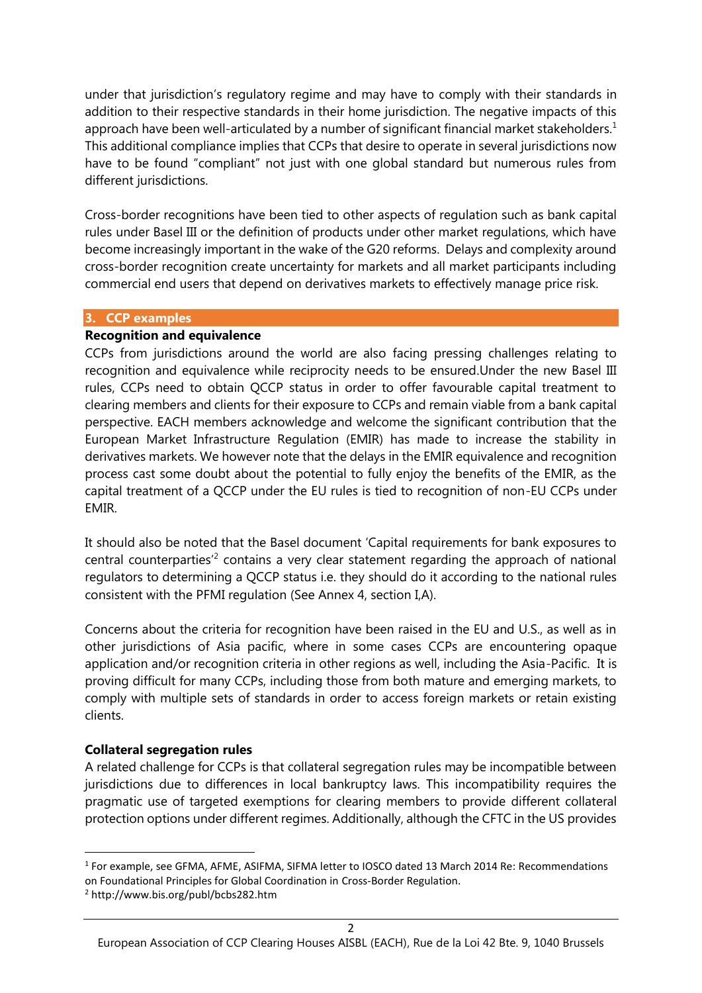under that jurisdiction's regulatory regime and may have to comply with their standards in addition to their respective standards in their home jurisdiction. The negative impacts of this approach have been well-articulated by a number of significant financial market stakeholders.<sup>1</sup> This additional compliance implies that CCPs that desire to operate in several jurisdictions now have to be found "compliant" not just with one global standard but numerous rules from different jurisdictions.

Cross-border recognitions have been tied to other aspects of regulation such as bank capital rules under Basel III or the definition of products under other market regulations, which have become increasingly important in the wake of the G20 reforms. Delays and complexity around cross-border recognition create uncertainty for markets and all market participants including commercial end users that depend on derivatives markets to effectively manage price risk.

#### **3. CCP examples**

### **Recognition and equivalence**

CCPs from jurisdictions around the world are also facing pressing challenges relating to recognition and equivalence while reciprocity needs to be ensured.Under the new Basel III rules, CCPs need to obtain QCCP status in order to offer favourable capital treatment to clearing members and clients for their exposure to CCPs and remain viable from a bank capital perspective. EACH members acknowledge and welcome the significant contribution that the European Market Infrastructure Regulation (EMIR) has made to increase the stability in derivatives markets. We however note that the delays in the EMIR equivalence and recognition process cast some doubt about the potential to fully enjoy the benefits of the EMIR, as the capital treatment of a QCCP under the EU rules is tied to recognition of non-EU CCPs under EMIR.

It should also be noted that the Basel document 'Capital requirements for bank exposures to central counterparties<sup> $2$ </sup> contains a very clear statement regarding the approach of national regulators to determining a QCCP status i.e. they should do it according to the national rules consistent with the PFMI regulation (See Annex 4, section I,A).

Concerns about the criteria for recognition have been raised in the EU and U.S., as well as in other jurisdictions of Asia pacific, where in some cases CCPs are encountering opaque application and/or recognition criteria in other regions as well, including the Asia-Pacific. It is proving difficult for many CCPs, including those from both mature and emerging markets, to comply with multiple sets of standards in order to access foreign markets or retain existing clients.

#### **Collateral segregation rules**

A related challenge for CCPs is that collateral segregation rules may be incompatible between jurisdictions due to differences in local bankruptcy laws. This incompatibility requires the pragmatic use of targeted exemptions for clearing members to provide different collateral protection options under different regimes. Additionally, although the CFTC in the US provides

<sup>1</sup> For example, see GFMA, AFME, ASIFMA, SIFMA letter to IOSCO dated 13 March 2014 Re: Recommendations on Foundational Principles for Global Coordination in Cross-Border Regulation.

<sup>2</sup> http://www.bis.org/publ/bcbs282.htm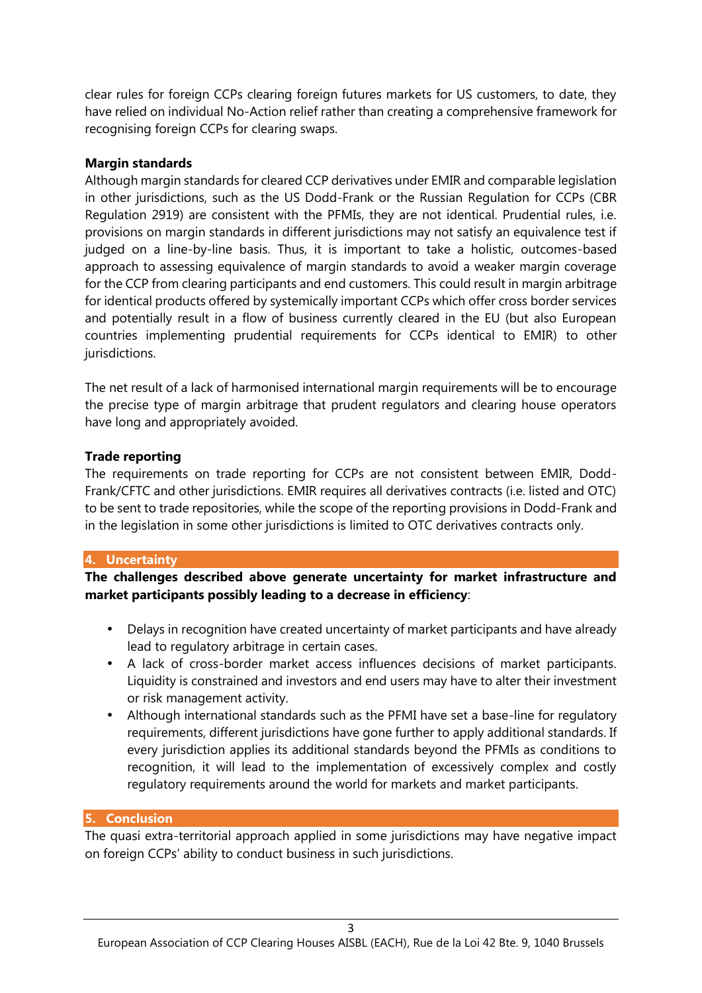clear rules for foreign CCPs clearing foreign futures markets for US customers, to date, they have relied on individual No-Action relief rather than creating a comprehensive framework for recognising foreign CCPs for clearing swaps.

### **Margin standards**

Although margin standards for cleared CCP derivatives under EMIR and comparable legislation in other jurisdictions, such as the US Dodd-Frank or the Russian Regulation for CCPs (CBR Regulation 2919) are consistent with the PFMIs, they are not identical. Prudential rules, i.e. provisions on margin standards in different jurisdictions may not satisfy an equivalence test if judged on a line-by-line basis. Thus, it is important to take a holistic, outcomes-based approach to assessing equivalence of margin standards to avoid a weaker margin coverage for the CCP from clearing participants and end customers. This could result in margin arbitrage for identical products offered by systemically important CCPs which offer cross border services and potentially result in a flow of business currently cleared in the EU (but also European countries implementing prudential requirements for CCPs identical to EMIR) to other jurisdictions.

The net result of a lack of harmonised international margin requirements will be to encourage the precise type of margin arbitrage that prudent regulators and clearing house operators have long and appropriately avoided.

## **Trade reporting**

The requirements on trade reporting for CCPs are not consistent between EMIR, Dodd- Frank/CFTC and other jurisdictions. EMIR requires all derivatives contracts (i.e. listed and OTC) to be sent to trade repositories, while the scope of the reporting provisions in Dodd-Frank and in the legislation in some other jurisdictions is limited to OTC derivatives contracts only.

## **4. Uncertainty**

**The challenges described above generate uncertainty for market infrastructure and market participants possibly leading to a decrease in efficiency**:

- Delays in recognition have created uncertainty of market participants and have already lead to regulatory arbitrage in certain cases.
- A lack of cross-border market access influences decisions of market participants. Liquidity is constrained and investors and end users may have to alter their investment or risk management activity.
- Although international standards such as the PFMI have set a base-line for regulatory requirements, different jurisdictions have gone further to apply additional standards. If every jurisdiction applies its additional standards beyond the PFMIs as conditions to recognition, it will lead to the implementation of excessively complex and costly regulatory requirements around the world for markets and market participants.

## **5. Conclusion**

The quasi extra-territorial approach applied in some jurisdictions may have negative impact on foreign CCPs' ability to conduct business in such jurisdictions.